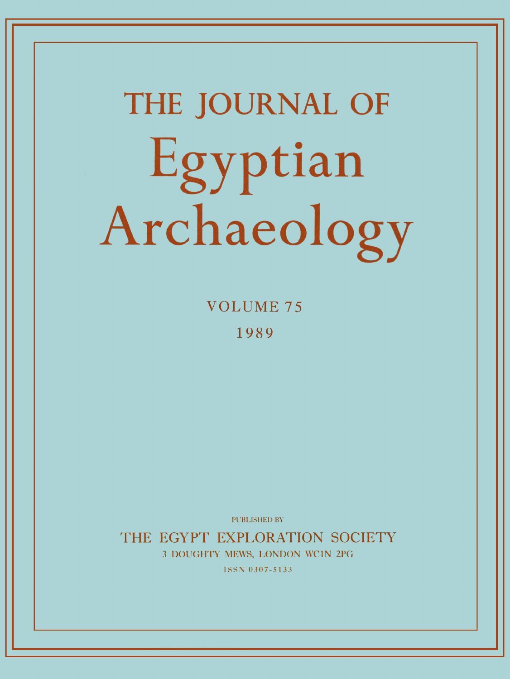# **THE JOURNAL OF**  Egyptian Archaeology

VOLUME 7 5 198 9

**PUBLISHED BY** 

THE EGYPT EXPLORATION SOCIETY 3 DOUGHTY MEWS, LONDON WC1N 2PG

ISSN 0307-5133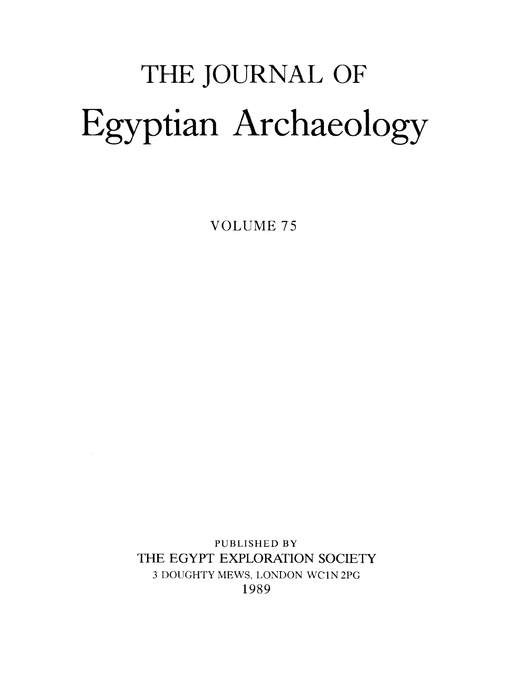# THE JOURNAL OF Egyptian Archaeology

VOLUME 75

**PUBLISHE D B Y**  THE EGYPT EXPLORATION SOCIETY **3 DOUGHT Y MEWS , LONDO <sup>N</sup>** WC1N2PG 1989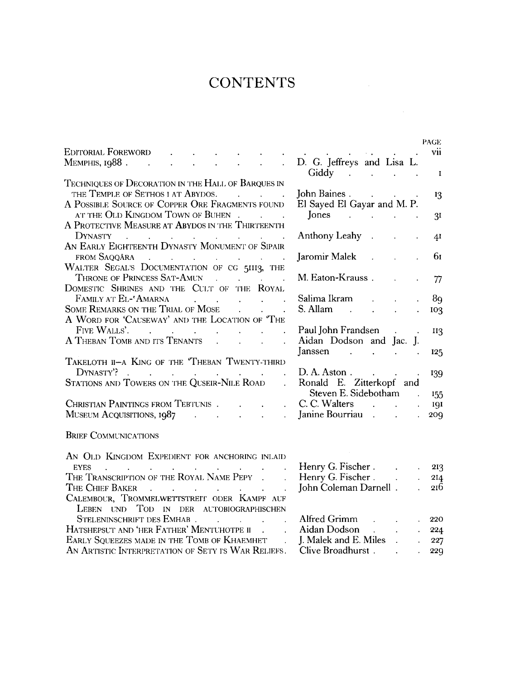# **CONTENTS**

|                                                                                                                                                                                                                                |                             | <b>PAGE</b>    |
|--------------------------------------------------------------------------------------------------------------------------------------------------------------------------------------------------------------------------------|-----------------------------|----------------|
|                                                                                                                                                                                                                                |                             | VII.           |
| MEMPHIS, 1988. D. G. Jeffreys and Lisa L.                                                                                                                                                                                      | Giddy I                     |                |
| TECHNIQUES OF DECORATION IN THE HALL OF BARQUES IN                                                                                                                                                                             |                             |                |
| THE TEMPLE OF SETHOS I AT ABYDOS.                                                                                                                                                                                              | John Baines                 | 13             |
| A POSSIBLE SOURCE OF COPPER ORE FRAGMENTS FOUND                                                                                                                                                                                | El Sayed El Gayar and M. P. |                |
| AT THE OLD KINGDOM TOWN OF BUHEN                                                                                                                                                                                               | $Jones$                     |                |
|                                                                                                                                                                                                                                |                             | 31             |
| A PROTECTIVE MEASURE AT ABYDOS IN THE THIRTEENTH                                                                                                                                                                               |                             |                |
| $Dynasry$                                                                                                                                                                                                                      | Anthony Leahy               | 41             |
| AN EARLY EIGHTEENTH DYNASTY MONUMENT OF SIPAIR                                                                                                                                                                                 |                             |                |
| FROM SAQQÂRA (Contract and Contract and Contract and Contract and Contract and Contract and Contract and Contract and Contract and Contract and Contract and Contract and Contract and Contract and Contract and Contract and  | $\ddot{\phantom{a}}$        | 61             |
| WALTER SEGAL'S DOCUMENTATION OF CG 51113, THE                                                                                                                                                                                  |                             |                |
| THRONE OF PRINCESS SAT-AMUN                                                                                                                                                                                                    | M. Eaton-Krauss             | 77             |
| DOMESTIC SHRINES AND THE CULT OF THE ROYAL                                                                                                                                                                                     |                             |                |
| FAMILY AT EL-'AMARNA                                                                                                                                                                                                           | $\bullet$                   | 89             |
| SOME REMARKS ON THE TRIAL OF MOSE                                                                                                                                                                                              |                             | 103            |
| A WORD FOR 'CAUSEWAY' AND THE LOCATION OF 'THE                                                                                                                                                                                 |                             |                |
| FIVE WALLS'. The contract of the contract of the contract of the contract of the contract of the contract of the contract of the contract of the contract of the contract of the contract of the contract of the contract of t | Paul John Frandsen          |                |
| $\mathcal{L}$                                                                                                                                                                                                                  |                             | <b>II3</b>     |
| A THEBAN TOMB AND ITS TENANTS                                                                                                                                                                                                  | Aidan Dodson and Jac. J.    |                |
|                                                                                                                                                                                                                                | Janssen                     | 125            |
| TAKELOTH II-A KING OF THE 'THEBAN TWENTY-THIRD                                                                                                                                                                                 |                             |                |
| $\sim$                                                                                                                                                                                                                         |                             | 139            |
| STATIONS AND TOWERS ON THE QUSEIR-NILE ROAD .                                                                                                                                                                                  | Ronald E. Zitterkopf and    |                |
|                                                                                                                                                                                                                                | Steven E. Sidebotham .      | <sup>155</sup> |
| CHRISTIAN PAINTINGS FROM TEBTUNIS C. C. Walters                                                                                                                                                                                |                             | 191            |
|                                                                                                                                                                                                                                |                             | 200            |
|                                                                                                                                                                                                                                |                             |                |
| <b>BRIEF COMMUNICATIONS</b>                                                                                                                                                                                                    |                             |                |

| AN OLD KINGDOM EXPEDIENT FOR ANCHORING INLAID                             |  |  |
|---------------------------------------------------------------------------|--|--|
| EYES Henry G. Fischer 213                                                 |  |  |
| THE TRANSCRIPTION OF THE ROYAL NAME PEPY Henry G. Fischer 214             |  |  |
| THE CHIEF BAKER John Coleman Darnell 216                                  |  |  |
| CALEMBOUR, TROMMELWETTSTREIT ODER KAMPF AUF                               |  |  |
| LEBEN UND TOD IN DER AUTOBIOGRAPHISCHEN                                   |  |  |
| STELENINSCHRIFT DES EMHAB. Alfred Grimm 220                               |  |  |
| HATSHEPSUT AND 'HER FATHER' MENTUHOTPE II . Aidan Dodson . 224            |  |  |
| EARLY SQUEEZES MADE IN THE TOMB OF KHAEMHET . J. Malek and E. Miles . 227 |  |  |
| AN ARTISTIC INTERPRETATION OF SETY IS WAR RELIEFS. Clive Broadhurst. 229  |  |  |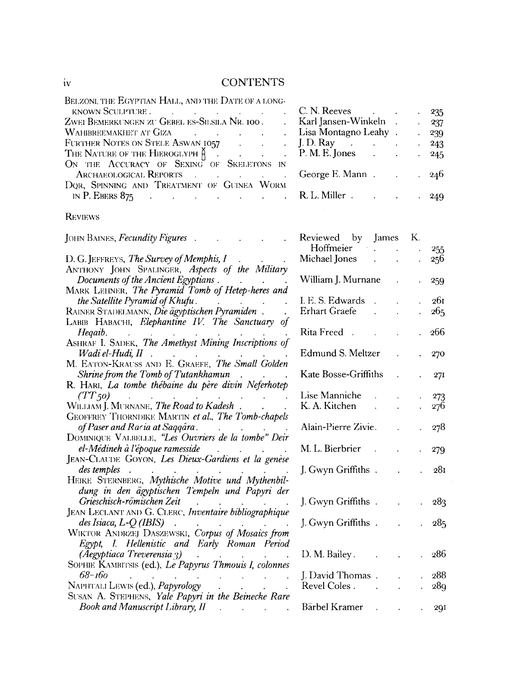### IV CONTENTS

| BELZONI, THE EGYPTIAN HALL, AND THE DATE OF A LONG-                                                                                                                                                                           |                                             |                             |            |
|-------------------------------------------------------------------------------------------------------------------------------------------------------------------------------------------------------------------------------|---------------------------------------------|-----------------------------|------------|
| KNOWN SCULPTURE.                                                                                                                                                                                                              | C. N. Reeves .                              |                             | 235        |
| ZWEI BEMERKUNGEN ZU GEBEL ES-SILSILA NR. 100.                                                                                                                                                                                 | Karl Jansen-Winkeln.                        |                             | 237        |
| WAHIBREEMAKHET AT GIZA A COMMUNISTIES AND A COMMUNIST                                                                                                                                                                         | Lisa Montagno Leahy.                        |                             | 239        |
| FURTHER NOTES ON STELE ASWAN 1057                                                                                                                                                                                             | J.D. Ray $\qquad \qquad$                    |                             | 243        |
| THE NATURE OF THE HIEROGLYPH $\oint$                                                                                                                                                                                          | $P. M. E. Jones \t\t(0.0000)$               |                             | 245        |
| ON THE ACCURACY OF SEXING OF SKELETONS IN                                                                                                                                                                                     |                                             |                             |            |
| <b>ARCHAEOLOGICAL REPORTS</b><br>$\sim$ $\sim$<br><b>Contract Contract</b>                                                                                                                                                    | George E. Mann.                             |                             | 246        |
| DOR, SPINNING AND TREATMENT OF GUINEA WORM                                                                                                                                                                                    |                                             |                             |            |
| IN P. EBERS $875$ . The contract of the contract of the contract of the contract of the contract of the contract of the contract of the contract of the contract of the contract of the contract of the contract of the contr | R. L. Miller.                               |                             | 249        |
|                                                                                                                                                                                                                               |                                             |                             |            |
| <b>REVIEWS</b>                                                                                                                                                                                                                |                                             |                             |            |
| JOHN BAINES, <i>Fecundity Figures</i> .                                                                                                                                                                                       | Reviewed by James K.                        |                             |            |
|                                                                                                                                                                                                                               | Hoffmeier .                                 |                             |            |
| D. G. JEFFREYS, The Survey of Memphis, I                                                                                                                                                                                      | Michael Jones                               |                             | 255<br>256 |
| ANTHONY JOHN SPALINGER, Aspects of the Military                                                                                                                                                                               |                                             |                             |            |
| Documents of the Ancient Egyptians.                                                                                                                                                                                           | William J. Murnane                          |                             |            |
| MARK LEHNER, The Pyramid Tomb of Hetep-heres and                                                                                                                                                                              |                                             |                             | 259        |
|                                                                                                                                                                                                                               | I. E. S. Edwards .                          |                             | 261        |
| the Satellite Pyramid of Khufu.                                                                                                                                                                                               | Erhart Graefe                               |                             |            |
| RAINER STADELMANN, Die ägyptischen Pyramiden.                                                                                                                                                                                 |                                             |                             | 265        |
| LABIB HABACHI, Elephantine IV. The Sanctuary of                                                                                                                                                                               |                                             |                             | 266        |
| Hegaib.                                                                                                                                                                                                                       | Rita Freed                                  |                             |            |
| ASHRAF I. SADEK, The Amethyst Mining Inscriptions of                                                                                                                                                                          |                                             |                             |            |
| $W$ adi el-Hudi, $H$ .                                                                                                                                                                                                        | Edmund S. Meltzer                           |                             | 270        |
| M. EATON-KRAUSS AND E. GRAEFE, The Small Golden                                                                                                                                                                               |                                             |                             |            |
| Shrine from the Tomb of Tutankhamun                                                                                                                                                                                           | Kate Bosse-Griffiths                        |                             | 27I        |
| R. HARI, La tombe thébaine du père divin Neferhotep                                                                                                                                                                           |                                             |                             |            |
| $(TT_{.5}o)$                                                                                                                                                                                                                  | Lise Manniche                               |                             | 273        |
| WILLIAM J. MURNANE, The Road to Kadesh.                                                                                                                                                                                       | K. A. Kitchen                               |                             | 276        |
| GEOFFREY THORNDIKE MARTIN et al., The Tomb-chapels                                                                                                                                                                            |                                             |                             |            |
| of Paser and Racia at Saqqâra.                                                                                                                                                                                                | Alain-Pierre Zivie.                         |                             | 278        |
| DOMINIQUE VALBELLE, "Les Ouvriers de la tombe" Deir                                                                                                                                                                           |                                             |                             |            |
| el-Médineh à l'époque ramesside                                                                                                                                                                                               | M. L. Bierbrier .                           |                             | 279        |
| JEAN-CLAUDE GOYON, Les Dieux-Gardiens et la genèse                                                                                                                                                                            |                                             |                             |            |
| des temples                                                                                                                                                                                                                   | J. Gwyn Griffiths.                          |                             | 281        |
| HEIKE STERNBERG, Mythische Motive und Mythenbil-                                                                                                                                                                              |                                             |                             |            |
| dung in den ägyptischen Tempeln und Papyri der                                                                                                                                                                                |                                             |                             |            |
| Grieschisch-römischen Zeit                                                                                                                                                                                                    |                                             | $\mathcal{L}^{\mathcal{L}}$ | 283        |
| JEAN LECLANT AND G. CLERC, Inventaire bibliographique                                                                                                                                                                         |                                             |                             |            |
| des Isiaca, $L-Q$ (IBIS)                                                                                                                                                                                                      | J. Gwyn Griffiths .<br>$\ddot{\phantom{a}}$ |                             | 285        |
| aes isuacu, L-Q (IDIS)<br>WIKTOR ANDRZEJ DASZEWSKI, Corpus of Mosaics from                                                                                                                                                    |                                             |                             |            |
| Egypt, I. Hellenistic and Early Roman Period                                                                                                                                                                                  |                                             |                             |            |
| (Aegyptiaca Treverensia 3)<br>$\mathcal{A}$ and $\mathcal{A}$ are all the set of the set of the set of $\mathcal{A}$                                                                                                          | $\ddot{\phantom{a}}$                        |                             | 286        |
| SOPHIE KAMBITSIS (ed.), Le Papyrus Thmouis I, colonnes                                                                                                                                                                        |                                             |                             |            |
| 68-160<br><b>Contractor</b><br>$\bullet$ , and $\bullet$ , and $\bullet$ , and $\bullet$ , and $\bullet$ , and $\bullet$ , and $\bullet$                                                                                      | J. David Thomas.                            |                             | 288        |
| NAPHTALI LEWIS (ed.), Papyrology<br>$\mathbf{z}$ , and $\mathbf{z}$ , and $\mathbf{z}$ , and $\mathbf{z}$                                                                                                                     |                                             |                             | 289        |
| SUSAN A. STEPHENS, <i>Yale Papyri in the Beinecke Rare</i>                                                                                                                                                                    |                                             |                             |            |
| Book and Manuscript Library, II                                                                                                                                                                                               | Bärbel Kramer 1988 und 1988                 |                             | 291        |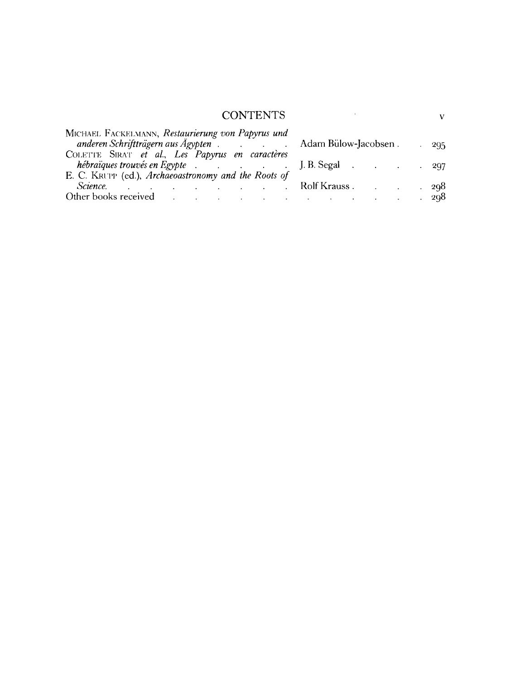## CONTENTS V

| MICHAEL FACKELMANN, Restaurierung von Papyrus und                 |  |  |  |  |  |  |
|-------------------------------------------------------------------|--|--|--|--|--|--|
| <i>anderen Schriftträgern aus Ägypten</i> Adam Bülow-Jacobsen 295 |  |  |  |  |  |  |
| COLETTE SIRAT et al., Les Papyrus en caractères                   |  |  |  |  |  |  |
| <i>hébraïques trouvés en Egypte</i> J. B. Segal 297               |  |  |  |  |  |  |
| E. C. KRUPP (ed.), Archaeoastronomy and the Roots of              |  |  |  |  |  |  |
| Science. Rolf Krauss. 298                                         |  |  |  |  |  |  |
|                                                                   |  |  |  |  |  |  |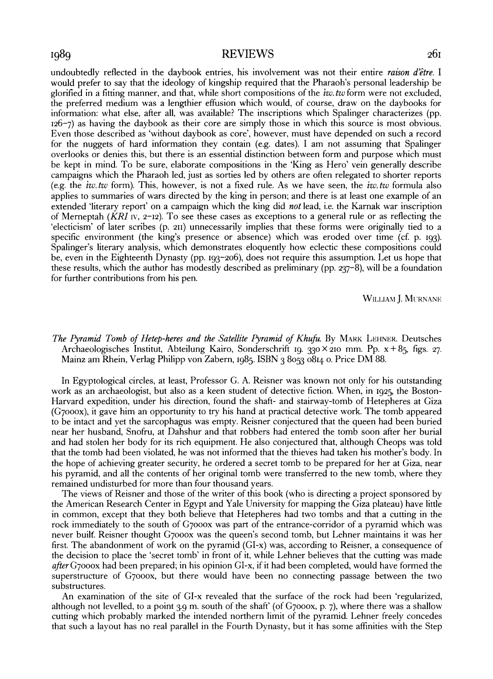undoubtedly reflected in the daybook entries, his involvement was not their entire *raison d'être*. I would prefer to say that the ideology of kingship required that the Pharaoh's personal leadership be glorified in a fitring manner, and that, while short compositions of the *iw. tw* form were not excluded, the preferred medium was a lengthier effusion which would, of course, draw on the daybooks for information: what else, after all, was available? The inscriptions which Spalinger characterizes (pp. 126-7) as having the daybook as their core are simply those in which this source is most obvious. Even those described as 'without daybook as core', however, must have depended on such a record for the nuggets of hard information they contain (e.g. dates). I am not assuming that Spalinger overlooks or denies this, but there is an essential distinction between form and purpose which must be kept in mind. To be sure, elaborate compositions in the 'King as Hero' vein generally describe campaigns which the Pharaoh led, just as sorties led by others are often relegated to shorter reports (e.g. the *iw.tw* form). This, however, is not a fixed rule. As we have seen, the *iw.tw* formula also applies to summaries of wars directed by the king in person; and there is at least one example of an extended 'literary report' on a campaign which the king did *not* lead, i.e. the Karnak war inscription of Merneptah (KRI IV, 2-12). To see these cases as exceptions to a general rule or as reflecting the 'electicism' of later scribes (p. 211) unnecessarily implies that these forms were originally tied to a specific environment (the king's presence or absence) which was eroded over time (cf. p. 193). Spalinger's literary analysis, which demonstrates eloquently how eclectic these compositions could be, even in the Eighteenth Dynasty (pp. 193-206), does not require this assumption. Let us hope that these results, which the author has modestly described as preliminary (pp. 237-8), will be a foundation for further contributions from his pen.

**WILLIAM J. MURNANE** 

*The Pyramid Tomb of Hetep-heres and the Satellite Pyramid of Khufu.* By MARK LEHNER. Deutsches Archaeologisches Institut, Abteilung Kairo, Sonderschrift 19. 330 X 210 mm. Pp. x+85, figs. 27. Mainz am Rhein, Verlag Philipp von Zabern, 1985 ISBN 3 8053 0814 o. Price DM 88.

In Egyptological circles, at least, Professor G. A. Reisner was known not only for his outstanding work as an archaeologist, but also as a keen student of detective fiction. When, in 1925, the Boston-Harvard expedition, under his direction, found the shaft- and stairway-tomb of Hetepheres at Giza (G7000x), it gave him an opportunity to try his hand at practical detective work. The tomb appeared to be intact and yet the sarcophagus was empty. Reisner conjectured that the queen had been buried near her husband, Snofru, at Dahshur and that robbers had entered the tomb soon after her burial and had stolen her body for its rich equipment. He also conjectured that, although Cheops was told that the tomb had been violated, he was not informed that the thieves had taken his mother's body. In the hope of achieving greater security, he ordered a secret tomb to be prepared for her at Giza, near his pyramid, and all the contents of her original tomb were transferred to the new tomb, where they remained undisturbed for more than four thousand years.

The views of Reisner and those of the writer of this book (who is directing a project sponsored by the American Research Center in Egypt and Yale University for mapping the Giza plateau) have little in common, except that they both believe that Hetepheres had two tombs and that a cutting in the rock immediately to the south of Gjooox was part of the entrance-corridor of a pyramid which was never builf. Reisner thought G7ooox was the queen's second tomb, but Lehner maintains it was her first. The abandonment of work on the pyramid (GI-x) was, according to Reisner, a consequence of the decision to place the 'secret tomb' in front of it, while Lehner believes that the cutting was made *after* G7ooox had been prepared; in his opinion GI-x, if it had been completed, would have formed the superstructure of G7000x, but there would have been no connecting passage between the two substructures.

An examination of the site of GI-x revealed that the surface of the rock had been 'regularized, although not levelled, to a point  $3.9$  m. south of the shaft' (of  $G_7000x$ , p. 7), where there was a shallow cutting which probably marked the intended northern limit of the pyramid. Lehner freely concedes that such a layout has no real parallel in the Fourth Dynasty, but it has some affinities with the Step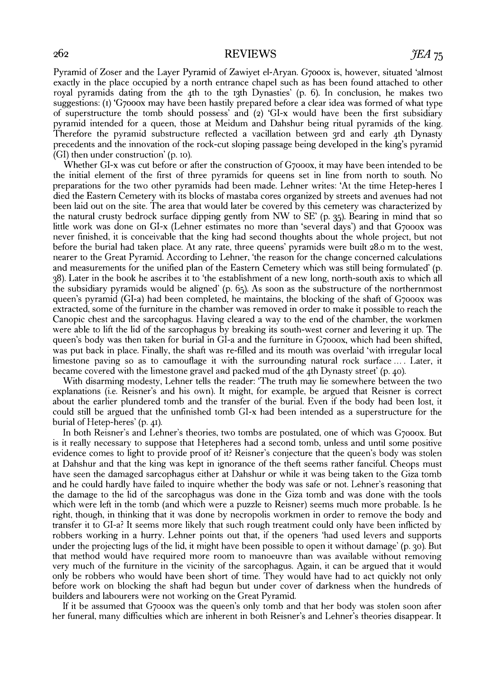Pyramid of Zoser and the Layer Pyramid of Zawiyet el-Aryan. G7ooox is, however, situated 'almost exactly in the place occupied by a north entrance chapel such as has been found attached to other royal pyramids dating from the 4th to the 13th Dynasties' (p. 6). In conclusion, he makes two suggestions: (I) 'G700ox may have been hastily prepared before a clear idea was formed of what type of superstructure the tomb should possess' and (2) 'GI-x would have been the first subsidiary pyramid intended for a queen, those at Meidum and Dahshur being ritual pyramids of the king. Therefore the pyramid substructure reflected a vacillation between 3rd and early 4th Dynasty precedents and the innovation of the rock-cut sloping passage being developed in the king's pyramid (GI) then under construction' (p. 10).

Whether GI-x was cut before or after the construction of G7000x, it may have been intended to be the initial element of the first of three pyramids for queens set in line from north to south. No preparations for the two other pyramids had been made. Lehner writes: 'At the time Hetep-heres I died the Eastern Cemetery with its blocks of mastaba cores organized by streets and avenues had not been laid out on the site. The area that would later be covered by this cemetery was characterized by the natural crusty bedrock surface dipping gently from NW to SE' (p.  $35$ ). Bearing in mind that so little work was done on GI-x (Lehner estimates no more than 'several days') and that G7ooox was never finished, it is conceivable that the king had second thoughts about the whole project, but not before the burial had taken place. At any rate, three queens' pyramids were built 28.0 m to the west, nearer to the Great Pyramid. According to Lehner, 'the reason for the change concerned calculations and measurements for the unified plan of the Eastern Cemetery which was still being formulated' (p. 38). Later in the book he ascribes it to 'the establishment of a new long, north-south axis to lvhich all the subsidiary pyramids would be aligned' (p.  $65$ ). As soon as the substructure of the northernmost queen's pyramid (GI-a) had been completed, he maintains, the blocking of the shaft of G7000x was extracted, some of the furniture in the chamber was removed in order to make it possible to reach the Canopic chest and the sarcophagus. Having cleared a way to the end of the chamber, the workmen were able to lift the lid of the sarcophagus by breaking its south-west corner and levering it up. The queen's body was then taken for burial in  $GI-a$  and the furniture in  $G<sub>7000</sub>x$ , which had been shifted, was put back in place. Finally, the shaft was re-filled and its mouth was overlaid 'with irregular local limestone paving so as to camouflage it with the surrounding natural rock surface ... . Later, it became covered with the limestone gravel and packed mud of the 4th Dynasty street' (p. 40).

With disarming modesty, Lehner tells the reader: 'The truth may lie somewhere between the two explanations (i.e. Reisner's and his own). It might, for example, be argued that Reisner is correct about the earlier plundered tomb and the transfer of the burial. Even if the body had been lost, it could still be argued that the unfinished tomb GI-x had been intended as a superstructure for the burial of Hetep-heres' (p. 41).

In both Reisner's and Lehner's theories, two tombs are postulated, one of which was G7000x. But is it really necessary to suppose that Hetepheres had a second tomb, unless and until some positive evidence comes to light to provide proof of it? Reisner's conjecture that the queen's body was stolen at Dahshur and that the king was kept in ignorance of the theft seems rather fanciful. Cheops must have seen the damaged sarcophagus either at Dahshur or while it was being taken to the Giza tomb and he could hardly have failed to inquire whether the body was safe or not. Lehner's reasoning that the damage to the lid of the sarcophagus was done in the Giza tomb and was done with the tools which were left in the tomb (and which were a puzzle to Reisner) seems much more probable. Is he right, though, in thinking that it was done by necropolis workmen in order to remove the body and transfer it to GI-a? It seems more likely that such rough treatment could only have been inflicted by robbers working in a hurry. Lehner points out that, if the openers 'had used levers and supports under the projecting lugs of the lid, it might have been possible to open it without damage' (p. 30). Rut that method would have required more room to manoeuvre than was available without removing very much of the furniture in the vicinity of the sarcophagus. Again, it can be argued that it would only be robbers who would have been short of time. They would have had to act quickly not only before work on blocking the shaft had begun but under cover of darkness when the hundreds of builders and labourers were not \vorking on the Great Pyramid.

If it be assumed that G<sub>7000</sub>x was the queen's only tomb and that her body was stolen soon after her funeral, many difficulties which are inherent in both Reisner's and Lehner's theories disappear. It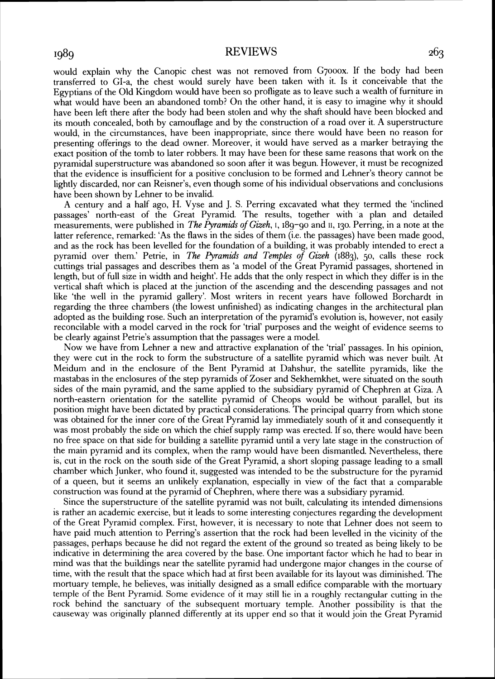#### REVIEWS

would explain why the Canopic chest was not removed from G700ox. If the body had been transferred to GI-a, the chest would surely have been taken with it. Is it conceivable that the Egyptians of the Old Kingdom would have been so profligate as to leave such a wealth of furniture in what would have been an abandoned tomb? On the other hand, it is easy to imagine why it should have been left there after the body had been stolen and why the shaft should have been blocked and its mouth concealed, both by camouflage and by the construction of a road over it. A superstructure would, in the circumstances, have been inappropriate, since there would have been no reason for presenting offerings to the dead owner. Moreover, it would have served as a marker betraying the exact position of the tomb to later robbers. It may have been for these same reasons that work on the pyramidal superstructure was abandoned so soon after it was begun. However, it must be recognized that the evidence is insufficient for a positive conclusion to be formed and Lehner's theory cannot be lightly discarded, nor can Reisner's, even though some of his individual observations and conclusions have been shown bv Lehner to be invalid.

A century and a half ago, H. Vyse and J. S. Perring excavated what they termed the 'inclined passages' north-east of the Great Pyramid. The results, together with a plan and detailed measurements, were published in *The Pyramids of Gizeh*, I, 189–90 and II, 130. Perring, in a note at the latter reference, remarked: 'As the flaws in the sides of them (i.e. the passages) have been made good, and as the rock has been levelled for the foundation of a building, it was probably intended to erect a pyramid over them.' Petrie, in *The Pyramids and Temples of Gizeh* (1883), 50, calls these rock cuttings trial passages and describes them as 'a model of the Great Pyramid passages, shortened in length, but of full size in width and height'. He adds that the only respect in which they differ is in the vertical shaft which is placed at the junction of the ascending and the descending passages and not like 'the well in the pyramid gallery'. Most writers in recent years have followed Borchardt in regarding the three chambers (the lowest unfinished) as indicating changes in the architectural plan adopted as the building rose. Such an interpretation of the pyramid's evolution is, however, not easily reconcilable with a model carved in the rock for 'trial' purposes and the weight of evidence seems to be clearly against Petrie's assumption that the passages were a model.

Now we have from Lehner a new and attractive explanation of the 'trial' passages. In his opinion, they were cut in the rock to form the substructure of a satellite pyramid which was never built. At Meidum and in the enclosure of the Bent Pyramid at Dahshur, the satellite pyramids, like the mastabas in the enclosures of the step pyramids of Zoser and Sekhemkhet, were situated on the south sides of the main pyramid, and the same applied to the subsidiary pyramid of Chephren at Giza. A north-eastern orientation for the satellite pyramid of Cheops would be without parallel, but its position might have been dictated by practical considerations. The principal quarry from which stone was obtained for the inner core of the Great Pyramid lay immediately south of it and consequently it was most probably the side on which the chief supply ramp was erected. If so, there would have been no free space on that side for building a satellite pyramid until a very late stage in the construction of the main pyramid and its complex, when the ramp would have been dismantled. Nevertheless, there is, cut in the rock on the south side of the Great Pyramid, a short sloping passage leading to a small chamber which Junker, who found it, suggested mas intended to be the substructure for the pyramid of a queen, but it seems an unlikely explanation, especially in view of the fact that a comparable construction was found at the pyramid of Chephren, where there was a subsidiary pyramid.

Since the superstructure of the satellite pyramid was not built, calculating its intended dimensions is rather an academic exercise, but it leads to some interesting conjectures regarding the development of the Great Pyramid complex. First, however, it is necessary to note that Lehner does not seem to have paid much attention to Perring's assertion that the rock had been levelled in the vicinitv of the passages, perhaps because he did not regard the extent of the ground so treated as being likely to be indicative in determining the area covered by the base. One important factor which he had to bear in mind was that the buildings near the satellite pyramid had undergone major changes in the course of time, with the result that the space which had at first been available for its layout was diminished. The mortuary temple, he believes, was initially designed as a small edifice comparable with the mortuary temple of the Rent Pyramid. Some evidence of it may still lie in a roughly rectangular cutting in the rock behind the sanctuary of the subsequent mortuary temple. Another possibility is that the causeway was originally planned differently at its upper end so that it would join the Great Pyramid

#### 1989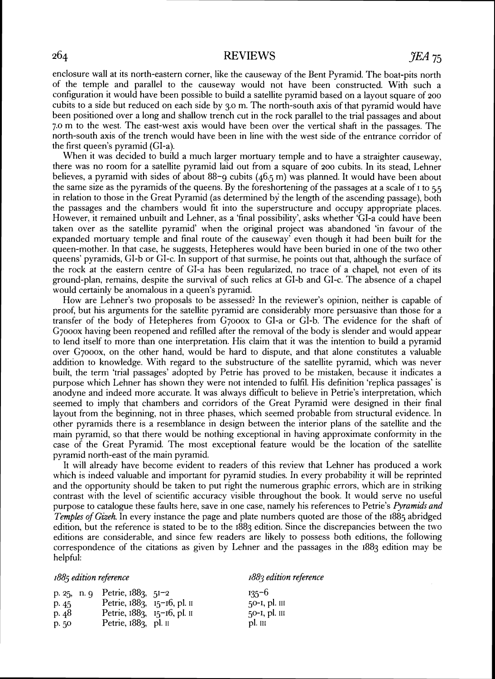#### REVIEWS

enclosure wall at its north-eastern corner, like the causeway of the Bent Pyramid. The boat-pits north of the temple and parallel to the causeway would not have been constructed. With such a configuration it would have been possible to build a satellite pyramid based on a layout square of 200 cubits to a side but reduced on each side by 3.0 m. The north-south axis of that pyramid would have been positioned over a long and shallow trench cut in the rock parallel to the trial passages and about 7.0 m to the west. The east-west axis would have been over the vertical shaft in the passages. The north-south axis of the trench would have been in line with the west side of the entrance corridor of the first queen's pyramid (GI-a).

When it was decided to build a much larger mortuary temple and to have a straighter causeway, there was no room for a satellite pyramid laid out from a square of 200 cubits. In its stead, Lehner believes, a pyramid with sides of about 88-9 cubits (46.5 m) was planned. It would have been about the same size as the pyramids of the queens. By the foreshortening of the passages at a scale of  $\iota$  to  $\iota$ . in relation to those in the Great Pyramid (as determined by the length of the ascending passage), both the passages and the chambers would fit into the superstructure and occupy appropriate places. However, it remained unbuilt and Lehner, as a 'final possibility', asks whether 'GI-a could have been taken over as the satellite pyramid' when the original project was abandoned 'in favour of the expanded mortuary temple and final route of the causeway' even though it had been built for the queen-mother. In that case, he suggests, Hetepheres would have been buried in one of the two other queens' pyramids. GI-b or GI-c. In support of that surmise, he points out that, although the surface of the rock at the eastern centre of GI-a has been regularized, no trace of a chapel, not even of its ground-plan, remains, despite the sunrival of such relics at GI-b and GI-c. The absence of a chapel would certainly be anomalous in a queen's pyramid.

How are Lehner's two proposals to be assessed? In the reviewer's opinion, neither is capable of proof, but his arguments for the satellite pyramid are considerably more persuasive than those for a transfer of the body of Hetepheres from G7ooox to GI-a or GI-b. The evidence for the shaft of G7ooox having been reopened and refilled after the removal of the body is slender and would appear to lend itself to more than one interpretation. His claim that it was the intention to build a pyramid over G7ooox, on ihe other hand, would be hard to dispute, and that alone constitutes a valuable addition to knowledge. With regard to the substructure of the satellite pyramid, which was never built, the term 'trial passages' adopted by Petrie has proved to be mistaken, because it indicates a purpose which Lehner has shown they were not intended to fulfil. His definition 'replica passages' is anodyne and indeed more accurate. It was always difficult to believe in Petrie's interpretation, which seemed to imply that chambers and corridors of the Great Pyramid were designed in their final layout from the beginning, not in three phases, which seemed probable from structural evidence. In other pyramids there is a resemblance in design between the interior plans of the satellite and the main pyramid, so that there would be nothing exceptional in having approximate conformity in the case of the Great Pyramid. The most exceptional feature would be the location of the satellite pyramid north-east of the main pyramid.

It will already have become evident to readers of this review that Lehner has produced a work which is indeed valuable and important for pyramid studies. In every probability it will be reprinted and the opportunity should be taken to put right the numerous graphic errors, which are in striking contrast with the level of scientific accuracy visible throughout the book. It would serve no useful purpose to catalogue these faults here, save in one case, namely his references to Petrie's *Pyramzds and Temples of Gizeh.* In every instance the page and plate numbers quoted are those of the 1885 abridged edition. but the reference is stated to be to the 1883 edition. Since the discrepancies between the two editions are considerable, and since few readers are likely to possess both editions, the following correspondence of the citations as given by Lehner and the passages in the 1883 edition may be helpful:

*1885edition reference 1883edition reference* 

| 1883 edition reference |  |
|------------------------|--|
|                        |  |
|                        |  |
|                        |  |

 $50 - I$ , pl.  $III$ 50-1, pl. 111<br>pl. 111

|       | p. 25, n. 9 Petrie, 1883, 51-2 | $135 - 6$ |
|-------|--------------------------------|-----------|
| p. 45 | Petrie, 1883, 15-16, pl. II    | $50-1,1$  |
| p.48  | Petrie, 1883, 15-16, pl. II    | $50-1,1$  |
| p. 50 | Petrie, 1883, pl. II           | pl.III    |